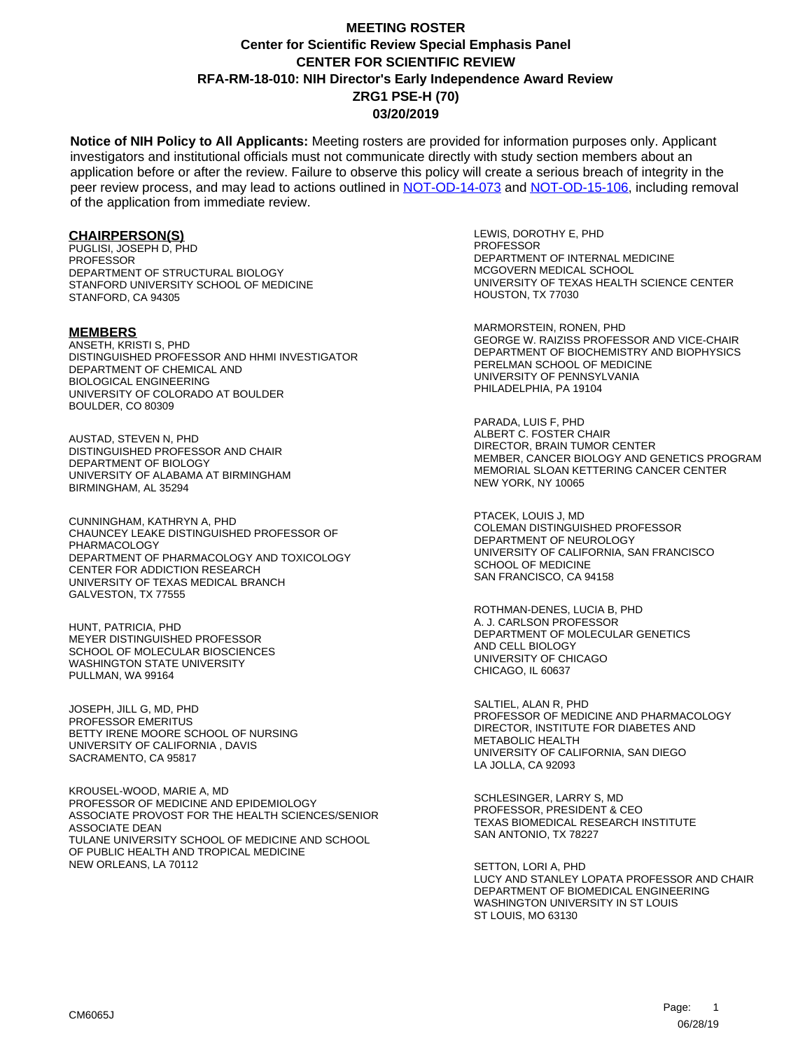**Notice of NIH Policy to All Applicants:** Meeting rosters are provided for information purposes only. Applicant investigators and institutional officials must not communicate directly with study section members about an application before or after the review. Failure to observe this policy will create a serious breach of integrity in the peer review process, and may lead to actions outlined in [NOT-OD-14-073](https://grants.nih.gov/grants/guide/notice-files/NOT-OD-14-073.html) and [NOT-OD-15-106,](https://grants.nih.gov/grants/guide/notice-files/NOT-OD-15-106.html) including removal of the application from immediate review.

#### **CHAIRPERSON(S)**

PUGLISI, JOSEPH D, PHD **PROFESSOR** DEPARTMENT OF STRUCTURAL BIOLOGY STANFORD UNIVERSITY SCHOOL OF MEDICINE STANFORD, CA 94305

#### **MEMBERS**

ANSETH, KRISTI S, PHD DISTINGUISHED PROFESSOR AND HHMI INVESTIGATOR DEPARTMENT OF CHEMICAL AND BIOLOGICAL ENGINEERING UNIVERSITY OF COLORADO AT BOULDER BOULDER, CO 80309

AUSTAD, STEVEN N, PHD DISTINGUISHED PROFESSOR AND CHAIR DEPARTMENT OF BIOLOGY UNIVERSITY OF ALABAMA AT BIRMINGHAM BIRMINGHAM, AL 35294

CUNNINGHAM, KATHRYN A, PHD CHAUNCEY LEAKE DISTINGUISHED PROFESSOR OF PHARMACOLOGY DEPARTMENT OF PHARMACOLOGY AND TOXICOLOGY CENTER FOR ADDICTION RESEARCH UNIVERSITY OF TEXAS MEDICAL BRANCH GALVESTON, TX 77555

HUNT, PATRICIA, PHD MEYER DISTINGUISHED PROFESSOR SCHOOL OF MOLECULAR BIOSCIENCES WASHINGTON STATE UNIVERSITY PULLMAN, WA 99164

JOSEPH, JILL G, MD, PHD PROFESSOR EMERITUS BETTY IRENE MOORE SCHOOL OF NURSING UNIVERSITY OF CALIFORNIA , DAVIS SACRAMENTO, CA 95817

KROUSEL-WOOD, MARIE A, MD PROFESSOR OF MEDICINE AND EPIDEMIOLOGY ASSOCIATE PROVOST FOR THE HEALTH SCIENCES/SENIOR ASSOCIATE DEAN TULANE UNIVERSITY SCHOOL OF MEDICINE AND SCHOOL OF PUBLIC HEALTH AND TROPICAL MEDICINE NEW ORLEANS, LA 70112

LEWIS, DOROTHY E, PHD PROFESSOR DEPARTMENT OF INTERNAL MEDICINE MCGOVERN MEDICAL SCHOOL UNIVERSITY OF TEXAS HEALTH SCIENCE CENTER HOUSTON, TX 77030

MARMORSTEIN, RONEN, PHD GEORGE W. RAIZISS PROFESSOR AND VICE-CHAIR DEPARTMENT OF BIOCHEMISTRY AND BIOPHYSICS PERELMAN SCHOOL OF MEDICINE UNIVERSITY OF PENNSYLVANIA PHILADELPHIA, PA 19104

PARADA, LUIS F, PHD ALBERT C. FOSTER CHAIR DIRECTOR, BRAIN TUMOR CENTER MEMBER, CANCER BIOLOGY AND GENETICS PROGRAM MEMORIAL SLOAN KETTERING CANCER CENTER NEW YORK, NY 10065

PTACEK, LOUIS J, MD COLEMAN DISTINGUISHED PROFESSOR DEPARTMENT OF NEUROLOGY UNIVERSITY OF CALIFORNIA, SAN FRANCISCO SCHOOL OF MEDICINE SAN FRANCISCO, CA 94158

ROTHMAN-DENES, LUCIA B, PHD A. J. CARLSON PROFESSOR DEPARTMENT OF MOLECULAR GENETICS AND CELL BIOLOGY UNIVERSITY OF CHICAGO CHICAGO, IL 60637

SALTIEL, ALAN R, PHD PROFESSOR OF MEDICINE AND PHARMACOLOGY DIRECTOR, INSTITUTE FOR DIABETES AND METABOLIC HEALTH UNIVERSITY OF CALIFORNIA, SAN DIEGO LA JOLLA, CA 92093

SCHLESINGER, LARRY S, MD PROFESSOR, PRESIDENT & CEO TEXAS BIOMEDICAL RESEARCH INSTITUTE SAN ANTONIO, TX 78227

SETTON, LORI A, PHD LUCY AND STANLEY LOPATA PROFESSOR AND CHAIR DEPARTMENT OF BIOMEDICAL ENGINEERING WASHINGTON UNIVERSITY IN ST LOUIS ST LOUIS, MO 63130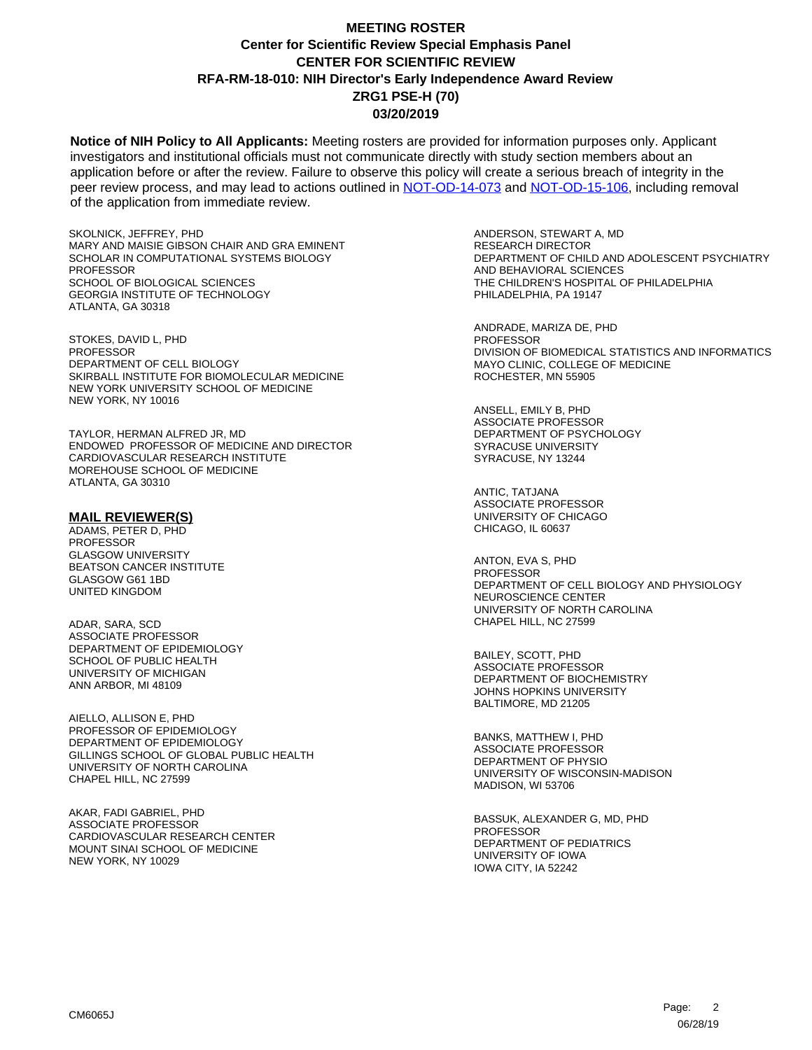**Notice of NIH Policy to All Applicants:** Meeting rosters are provided for information purposes only. Applicant investigators and institutional officials must not communicate directly with study section members about an application before or after the review. Failure to observe this policy will create a serious breach of integrity in the peer review process, and may lead to actions outlined in [NOT-OD-14-073](https://grants.nih.gov/grants/guide/notice-files/NOT-OD-14-073.html) and [NOT-OD-15-106,](https://grants.nih.gov/grants/guide/notice-files/NOT-OD-15-106.html) including removal of the application from immediate review.

SKOLNICK, JEFFREY, PHD MARY AND MAISIE GIBSON CHAIR AND GRA EMINENT SCHOLAR IN COMPUTATIONAL SYSTEMS BIOLOGY PROFESSOR SCHOOL OF BIOLOGICAL SCIENCES GEORGIA INSTITUTE OF TECHNOLOGY ATLANTA, GA 30318

STOKES, DAVID L, PHD **PROFESSOR** DEPARTMENT OF CELL BIOLOGY SKIRBALL INSTITUTE FOR BIOMOLECULAR MEDICINE NEW YORK UNIVERSITY SCHOOL OF MEDICINE NEW YORK, NY 10016

TAYLOR, HERMAN ALFRED JR, MD ENDOWED PROFESSOR OF MEDICINE AND DIRECTOR CARDIOVASCULAR RESEARCH INSTITUTE MOREHOUSE SCHOOL OF MEDICINE ATLANTA, GA 30310

#### **MAIL REVIEWER(S)**

ADAMS, PETER D, PHD PROFESSOR GLASGOW UNIVERSITY BEATSON CANCER INSTITUTE GLASGOW G61 1BD UNITED KINGDOM

ADAR, SARA, SCD ASSOCIATE PROFESSOR DEPARTMENT OF EPIDEMIOLOGY SCHOOL OF PUBLIC HEALTH UNIVERSITY OF MICHIGAN ANN ARBOR, MI 48109

AIELLO, ALLISON E, PHD PROFESSOR OF EPIDEMIOLOGY DEPARTMENT OF EPIDEMIOLOGY GILLINGS SCHOOL OF GLOBAL PUBLIC HEALTH UNIVERSITY OF NORTH CAROLINA CHAPEL HILL, NC 27599

AKAR, FADI GABRIEL, PHD ASSOCIATE PROFESSOR CARDIOVASCULAR RESEARCH CENTER MOUNT SINAI SCHOOL OF MEDICINE NEW YORK, NY 10029

ANDERSON, STEWART A, MD RESEARCH DIRECTOR DEPARTMENT OF CHILD AND ADOLESCENT PSYCHIATRY AND BEHAVIORAL SCIENCES THE CHILDREN'S HOSPITAL OF PHILADELPHIA PHILADELPHIA, PA 19147

ANDRADE, MARIZA DE, PHD **PROFESSOR** DIVISION OF BIOMEDICAL STATISTICS AND INFORMATICS MAYO CLINIC, COLLEGE OF MEDICINE ROCHESTER, MN 55905

ANSELL, EMILY B, PHD ASSOCIATE PROFESSOR DEPARTMENT OF PSYCHOLOGY SYRACUSE UNIVERSITY SYRACUSE, NY 13244

ANTIC, TATJANA ASSOCIATE PROFESSOR UNIVERSITY OF CHICAGO CHICAGO, IL 60637

ANTON, EVA S, PHD PROFESSOR DEPARTMENT OF CELL BIOLOGY AND PHYSIOLOGY NEUROSCIENCE CENTER UNIVERSITY OF NORTH CAROLINA CHAPEL HILL, NC 27599

BAILEY, SCOTT, PHD ASSOCIATE PROFESSOR DEPARTMENT OF BIOCHEMISTRY JOHNS HOPKINS UNIVERSITY BALTIMORE, MD 21205

BANKS, MATTHEW I, PHD ASSOCIATE PROFESSOR DEPARTMENT OF PHYSIO UNIVERSITY OF WISCONSIN-MADISON MADISON, WI 53706

BASSUK, ALEXANDER G, MD, PHD **PROFESSOR** DEPARTMENT OF PEDIATRICS UNIVERSITY OF IOWA IOWA CITY, IA 52242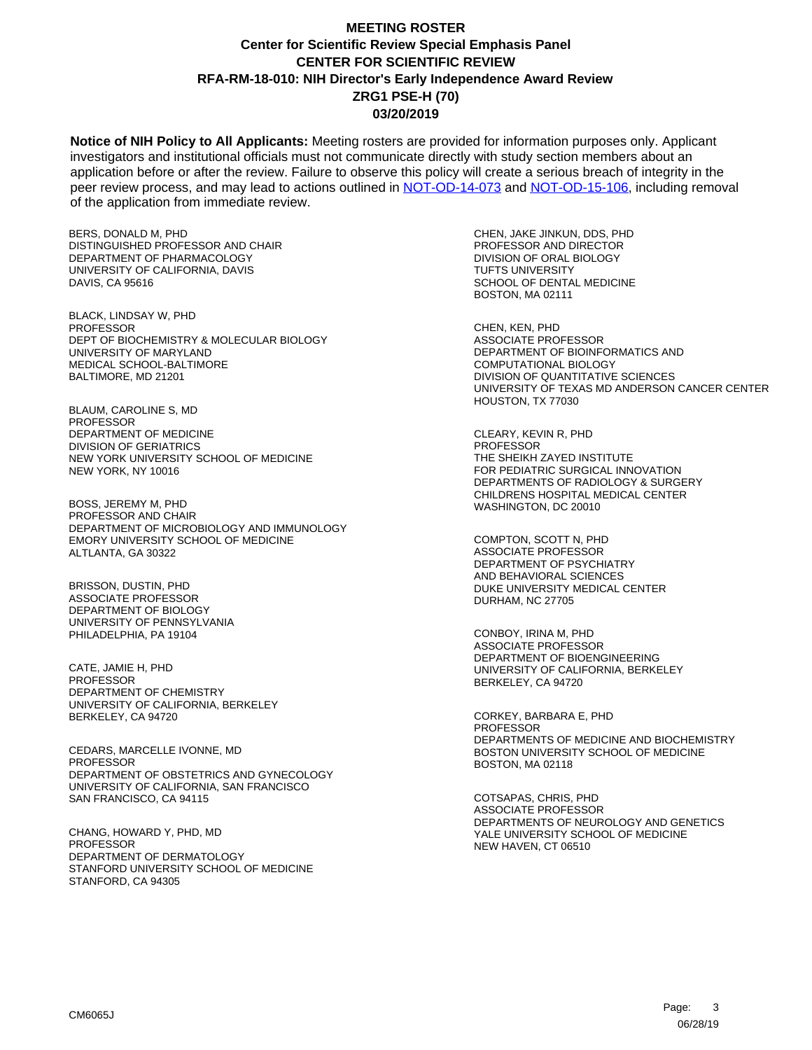**Notice of NIH Policy to All Applicants:** Meeting rosters are provided for information purposes only. Applicant investigators and institutional officials must not communicate directly with study section members about an application before or after the review. Failure to observe this policy will create a serious breach of integrity in the peer review process, and may lead to actions outlined in [NOT-OD-14-073](https://grants.nih.gov/grants/guide/notice-files/NOT-OD-14-073.html) and [NOT-OD-15-106,](https://grants.nih.gov/grants/guide/notice-files/NOT-OD-15-106.html) including removal of the application from immediate review.

BERS, DONALD M, PHD DISTINGUISHED PROFESSOR AND CHAIR DEPARTMENT OF PHARMACOLOGY UNIVERSITY OF CALIFORNIA, DAVIS DAVIS, CA 95616

BLACK, LINDSAY W, PHD **PROFESSOR** DEPT OF BIOCHEMISTRY & MOLECULAR BIOLOGY UNIVERSITY OF MARYLAND MEDICAL SCHOOL-BALTIMORE BALTIMORE, MD 21201

BLAUM, CAROLINE S, MD **PROFESSOR** DEPARTMENT OF MEDICINE DIVISION OF GERIATRICS NEW YORK UNIVERSITY SCHOOL OF MEDICINE NEW YORK, NY 10016

BOSS, JEREMY M, PHD PROFESSOR AND CHAIR DEPARTMENT OF MICROBIOLOGY AND IMMUNOLOGY EMORY UNIVERSITY SCHOOL OF MEDICINE ALTLANTA, GA 30322

BRISSON, DUSTIN, PHD ASSOCIATE PROFESSOR DEPARTMENT OF BIOLOGY UNIVERSITY OF PENNSYLVANIA PHILADELPHIA, PA 19104

CATE, JAMIE H, PHD PROFESSOR DEPARTMENT OF CHEMISTRY UNIVERSITY OF CALIFORNIA, BERKELEY BERKELEY, CA 94720

CEDARS, MARCELLE IVONNE, MD PROFESSOR DEPARTMENT OF OBSTETRICS AND GYNECOLOGY UNIVERSITY OF CALIFORNIA, SAN FRANCISCO SAN FRANCISCO, CA 94115

CHANG, HOWARD Y, PHD, MD PROFESSOR DEPARTMENT OF DERMATOLOGY STANFORD UNIVERSITY SCHOOL OF MEDICINE STANFORD, CA 94305

CHEN, JAKE JINKUN, DDS, PHD PROFESSOR AND DIRECTOR DIVISION OF ORAL BIOLOGY TUFTS UNIVERSITY SCHOOL OF DENTAL MEDICINE BOSTON, MA 02111

CHEN, KEN, PHD ASSOCIATE PROFESSOR DEPARTMENT OF BIOINFORMATICS AND COMPUTATIONAL BIOLOGY DIVISION OF QUANTITATIVE SCIENCES UNIVERSITY OF TEXAS MD ANDERSON CANCER CENTER HOUSTON, TX 77030

CLEARY, KEVIN R, PHD PROFESSOR THE SHEIKH ZAYED INSTITUTE FOR PEDIATRIC SURGICAL INNOVATION DEPARTMENTS OF RADIOLOGY & SURGERY CHILDRENS HOSPITAL MEDICAL CENTER WASHINGTON, DC 20010

COMPTON, SCOTT N, PHD ASSOCIATE PROFESSOR DEPARTMENT OF PSYCHIATRY AND BEHAVIORAL SCIENCES DUKE UNIVERSITY MEDICAL CENTER DURHAM, NC 27705

CONBOY, IRINA M, PHD ASSOCIATE PROFESSOR DEPARTMENT OF BIOENGINEERING UNIVERSITY OF CALIFORNIA, BERKELEY BERKELEY, CA 94720

CORKEY, BARBARA E, PHD PROFESSOR DEPARTMENTS OF MEDICINE AND BIOCHEMISTRY BOSTON UNIVERSITY SCHOOL OF MEDICINE BOSTON, MA 02118

COTSAPAS, CHRIS, PHD ASSOCIATE PROFESSOR DEPARTMENTS OF NEUROLOGY AND GENETICS YALE UNIVERSITY SCHOOL OF MEDICINE NEW HAVEN, CT 06510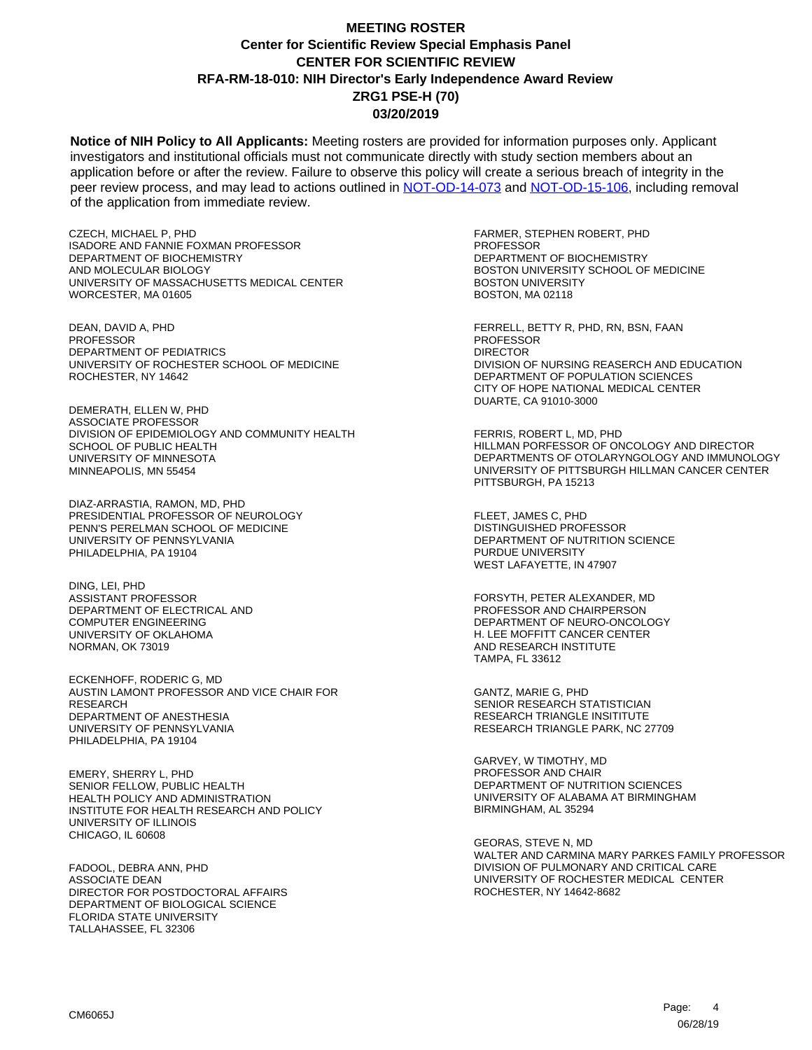**Notice of NIH Policy to All Applicants:** Meeting rosters are provided for information purposes only. Applicant investigators and institutional officials must not communicate directly with study section members about an application before or after the review. Failure to observe this policy will create a serious breach of integrity in the peer review process, and may lead to actions outlined in [NOT-OD-14-073](https://grants.nih.gov/grants/guide/notice-files/NOT-OD-14-073.html) and [NOT-OD-15-106,](https://grants.nih.gov/grants/guide/notice-files/NOT-OD-15-106.html) including removal of the application from immediate review.

CZECH, MICHAEL P, PHD ISADORE AND FANNIE FOXMAN PROFESSOR DEPARTMENT OF BIOCHEMISTRY AND MOLECULAR BIOLOGY UNIVERSITY OF MASSACHUSETTS MEDICAL CENTER WORCESTER, MA 01605

DEAN, DAVID A, PHD **PROFESSOR** DEPARTMENT OF PEDIATRICS UNIVERSITY OF ROCHESTER SCHOOL OF MEDICINE ROCHESTER, NY 14642

DEMERATH, ELLEN W, PHD ASSOCIATE PROFESSOR DIVISION OF EPIDEMIOLOGY AND COMMUNITY HEALTH SCHOOL OF PUBLIC HEALTH UNIVERSITY OF MINNESOTA MINNEAPOLIS, MN 55454

DIAZ-ARRASTIA, RAMON, MD, PHD PRESIDENTIAL PROFESSOR OF NEUROLOGY PENN'S PERELMAN SCHOOL OF MEDICINE UNIVERSITY OF PENNSYLVANIA PHILADELPHIA, PA 19104

DING, LEI, PHD ASSISTANT PROFESSOR DEPARTMENT OF ELECTRICAL AND COMPUTER ENGINEERING UNIVERSITY OF OKLAHOMA NORMAN, OK 73019

ECKENHOFF, RODERIC G, MD AUSTIN LAMONT PROFESSOR AND VICE CHAIR FOR RESEARCH DEPARTMENT OF ANESTHESIA UNIVERSITY OF PENNSYLVANIA PHILADELPHIA, PA 19104

EMERY, SHERRY L, PHD SENIOR FELLOW, PUBLIC HEALTH HEALTH POLICY AND ADMINISTRATION INSTITUTE FOR HEALTH RESEARCH AND POLICY UNIVERSITY OF ILLINOIS CHICAGO, IL 60608

FADOOL, DEBRA ANN, PHD ASSOCIATE DEAN DIRECTOR FOR POSTDOCTORAL AFFAIRS DEPARTMENT OF BIOLOGICAL SCIENCE FLORIDA STATE UNIVERSITY TALLAHASSEE, FL 32306

FARMER, STEPHEN ROBERT, PHD PROFESSOR DEPARTMENT OF BIOCHEMISTRY BOSTON UNIVERSITY SCHOOL OF MEDICINE BOSTON UNIVERSITY BOSTON, MA 02118

FERRELL, BETTY R, PHD, RN, BSN, FAAN PROFESSOR DIRECTOR DIVISION OF NURSING REASERCH AND EDUCATION DEPARTMENT OF POPULATION SCIENCES CITY OF HOPE NATIONAL MEDICAL CENTER DUARTE, CA 91010-3000

FERRIS, ROBERT L, MD, PHD HILLMAN PORFESSOR OF ONCOLOGY AND DIRECTOR DEPARTMENTS OF OTOLARYNGOLOGY AND IMMUNOLOGY UNIVERSITY OF PITTSBURGH HILLMAN CANCER CENTER PITTSBURGH, PA 15213

FLEET, JAMES C, PHD DISTINGUISHED PROFESSOR DEPARTMENT OF NUTRITION SCIENCE PURDUE UNIVERSITY WEST LAFAYETTE, IN 47907

FORSYTH, PETER ALEXANDER, MD PROFESSOR AND CHAIRPERSON DEPARTMENT OF NEURO-ONCOLOGY H. LEE MOFFITT CANCER CENTER AND RESEARCH INSTITUTE TAMPA, FL 33612

GANTZ, MARIE G, PHD SENIOR RESEARCH STATISTICIAN RESEARCH TRIANGLE INSITITUTE RESEARCH TRIANGLE PARK, NC 27709

GARVEY, W TIMOTHY, MD PROFESSOR AND CHAIR DEPARTMENT OF NUTRITION SCIENCES UNIVERSITY OF ALABAMA AT BIRMINGHAM BIRMINGHAM, AL 35294

GEORAS, STEVE N, MD WALTER AND CARMINA MARY PARKES FAMILY PROFESSOR DIVISION OF PULMONARY AND CRITICAL CARE UNIVERSITY OF ROCHESTER MEDICAL CENTER ROCHESTER, NY 14642-8682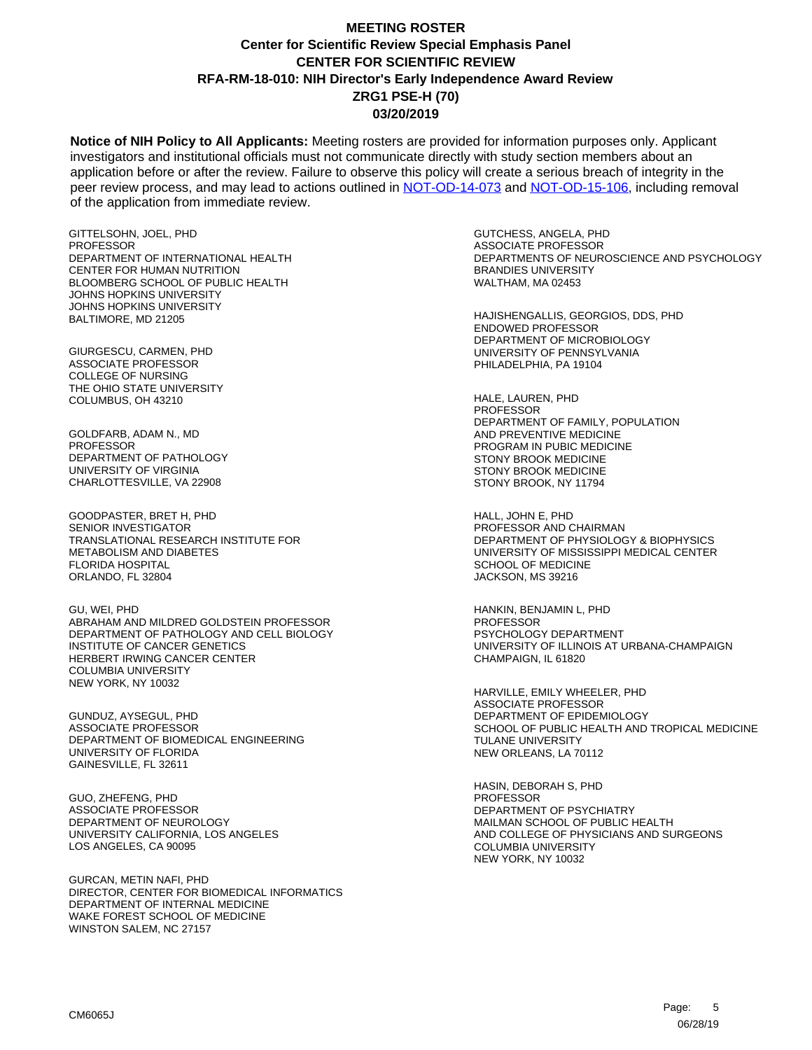**Notice of NIH Policy to All Applicants:** Meeting rosters are provided for information purposes only. Applicant investigators and institutional officials must not communicate directly with study section members about an application before or after the review. Failure to observe this policy will create a serious breach of integrity in the peer review process, and may lead to actions outlined in [NOT-OD-14-073](https://grants.nih.gov/grants/guide/notice-files/NOT-OD-14-073.html) and [NOT-OD-15-106,](https://grants.nih.gov/grants/guide/notice-files/NOT-OD-15-106.html) including removal of the application from immediate review.

GITTELSOHN, JOEL, PHD PROFESSOR DEPARTMENT OF INTERNATIONAL HEALTH CENTER FOR HUMAN NUTRITION BLOOMBERG SCHOOL OF PUBLIC HEALTH JOHNS HOPKINS UNIVERSITY JOHNS HOPKINS UNIVERSITY BALTIMORE, MD 21205

GIURGESCU, CARMEN, PHD ASSOCIATE PROFESSOR COLLEGE OF NURSING THE OHIO STATE UNIVERSITY COLUMBUS, OH 43210

GOLDFARB, ADAM N., MD **PROFESSOR** DEPARTMENT OF PATHOLOGY UNIVERSITY OF VIRGINIA CHARLOTTESVILLE, VA 22908

GOODPASTER, BRET H, PHD SENIOR INVESTIGATOR TRANSLATIONAL RESEARCH INSTITUTE FOR METABOLISM AND DIABETES FLORIDA HOSPITAL ORLANDO, FL 32804

GU, WEI, PHD ABRAHAM AND MILDRED GOLDSTEIN PROFESSOR DEPARTMENT OF PATHOLOGY AND CELL BIOLOGY INSTITUTE OF CANCER GENETICS HERBERT IRWING CANCER CENTER COLUMBIA UNIVERSITY NEW YORK, NY 10032

GUNDUZ, AYSEGUL, PHD ASSOCIATE PROFESSOR DEPARTMENT OF BIOMEDICAL ENGINEERING UNIVERSITY OF FLORIDA GAINESVILLE, FL 32611

GUO, ZHEFENG, PHD ASSOCIATE PROFESSOR DEPARTMENT OF NEUROLOGY UNIVERSITY CALIFORNIA, LOS ANGELES LOS ANGELES, CA 90095

GURCAN, METIN NAFI, PHD DIRECTOR, CENTER FOR BIOMEDICAL INFORMATICS DEPARTMENT OF INTERNAL MEDICINE WAKE FOREST SCHOOL OF MEDICINE WINSTON SALEM, NC 27157

GUTCHESS, ANGELA, PHD ASSOCIATE PROFESSOR DEPARTMENTS OF NEUROSCIENCE AND PSYCHOLOGY BRANDIES UNIVERSITY WALTHAM, MA 02453

HAJISHENGALLIS, GEORGIOS, DDS, PHD ENDOWED PROFESSOR DEPARTMENT OF MICROBIOLOGY UNIVERSITY OF PENNSYLVANIA PHILADELPHIA, PA 19104

HALE, LAUREN, PHD PROFESSOR DEPARTMENT OF FAMILY, POPULATION AND PREVENTIVE MEDICINE PROGRAM IN PUBIC MEDICINE STONY BROOK MEDICINE STONY BROOK MEDICINE STONY BROOK, NY 11794

HALL, JOHN E, PHD PROFESSOR AND CHAIRMAN DEPARTMENT OF PHYSIOLOGY & BIOPHYSICS UNIVERSITY OF MISSISSIPPI MEDICAL CENTER SCHOOL OF MEDICINE JACKSON, MS 39216

HANKIN, BENJAMIN L, PHD PROFESSOR PSYCHOLOGY DEPARTMENT UNIVERSITY OF ILLINOIS AT URBANA-CHAMPAIGN CHAMPAIGN, IL 61820

HARVILLE, EMILY WHEELER, PHD ASSOCIATE PROFESSOR DEPARTMENT OF EPIDEMIOLOGY SCHOOL OF PUBLIC HEALTH AND TROPICAL MEDICINE TULANE UNIVERSITY NEW ORLEANS, LA 70112

HASIN, DEBORAH S, PHD PROFESSOR DEPARTMENT OF PSYCHIATRY MAILMAN SCHOOL OF PUBLIC HEALTH AND COLLEGE OF PHYSICIANS AND SURGEONS COLUMBIA UNIVERSITY NEW YORK, NY 10032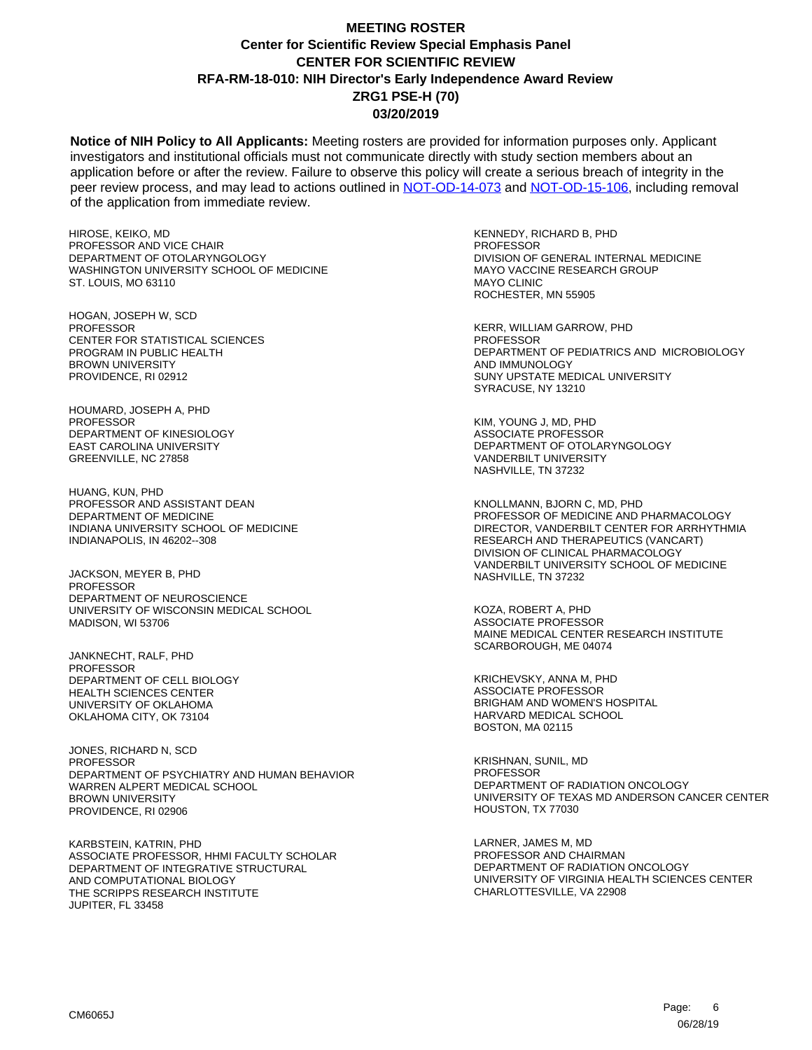**Notice of NIH Policy to All Applicants:** Meeting rosters are provided for information purposes only. Applicant investigators and institutional officials must not communicate directly with study section members about an application before or after the review. Failure to observe this policy will create a serious breach of integrity in the peer review process, and may lead to actions outlined in [NOT-OD-14-073](https://grants.nih.gov/grants/guide/notice-files/NOT-OD-14-073.html) and [NOT-OD-15-106,](https://grants.nih.gov/grants/guide/notice-files/NOT-OD-15-106.html) including removal of the application from immediate review.

HIROSE, KEIKO, MD PROFESSOR AND VICE CHAIR DEPARTMENT OF OTOLARYNGOLOGY WASHINGTON UNIVERSITY SCHOOL OF MEDICINE ST. LOUIS, MO 63110

HOGAN, JOSEPH W, SCD **PROFESSOR** CENTER FOR STATISTICAL SCIENCES PROGRAM IN PUBLIC HEALTH BROWN UNIVERSITY PROVIDENCE, RI 02912

HOUMARD, JOSEPH A, PHD PROFESSOR DEPARTMENT OF KINESIOLOGY EAST CAROLINA UNIVERSITY GREENVILLE, NC 27858

HUANG, KUN, PHD PROFESSOR AND ASSISTANT DEAN DEPARTMENT OF MEDICINE INDIANA UNIVERSITY SCHOOL OF MEDICINE INDIANAPOLIS, IN 46202--308

JACKSON, MEYER B, PHD **PROFESSOR** DEPARTMENT OF NEUROSCIENCE UNIVERSITY OF WISCONSIN MEDICAL SCHOOL MADISON, WI 53706

JANKNECHT, RALF, PHD PROFESSOR DEPARTMENT OF CELL BIOLOGY HEALTH SCIENCES CENTER UNIVERSITY OF OKLAHOMA OKLAHOMA CITY, OK 73104

JONES, RICHARD N, SCD PROFESSOR DEPARTMENT OF PSYCHIATRY AND HUMAN BEHAVIOR WARREN ALPERT MEDICAL SCHOOL BROWN UNIVERSITY PROVIDENCE, RI 02906

KARBSTEIN, KATRIN, PHD ASSOCIATE PROFESSOR, HHMI FACULTY SCHOLAR DEPARTMENT OF INTEGRATIVE STRUCTURAL AND COMPUTATIONAL BIOLOGY THE SCRIPPS RESEARCH INSTITUTE JUPITER, FL 33458

KENNEDY, RICHARD B, PHD PROFESSOR DIVISION OF GENERAL INTERNAL MEDICINE MAYO VACCINE RESEARCH GROUP MAYO CLINIC ROCHESTER, MN 55905

KERR, WILLIAM GARROW, PHD **PROFESSOR** DEPARTMENT OF PEDIATRICS AND MICROBIOLOGY AND IMMUNOLOGY SUNY UPSTATE MEDICAL UNIVERSITY SYRACUSE, NY 13210

KIM, YOUNG J, MD, PHD ASSOCIATE PROFESSOR DEPARTMENT OF OTOLARYNGOLOGY VANDERBILT UNIVERSITY NASHVILLE, TN 37232

KNOLLMANN, BJORN C, MD, PHD PROFESSOR OF MEDICINE AND PHARMACOLOGY DIRECTOR, VANDERBILT CENTER FOR ARRHYTHMIA RESEARCH AND THERAPEUTICS (VANCART) DIVISION OF CLINICAL PHARMACOLOGY VANDERBILT UNIVERSITY SCHOOL OF MEDICINE NASHVILLE, TN 37232

KOZA, ROBERT A, PHD ASSOCIATE PROFESSOR MAINE MEDICAL CENTER RESEARCH INSTITUTE SCARBOROUGH, ME 04074

KRICHEVSKY, ANNA M, PHD ASSOCIATE PROFESSOR BRIGHAM AND WOMEN'S HOSPITAL HARVARD MEDICAL SCHOOL BOSTON, MA 02115

KRISHNAN, SUNIL, MD PROFESSOR DEPARTMENT OF RADIATION ONCOLOGY UNIVERSITY OF TEXAS MD ANDERSON CANCER CENTER HOUSTON, TX 77030

LARNER, JAMES M, MD PROFESSOR AND CHAIRMAN DEPARTMENT OF RADIATION ONCOLOGY UNIVERSITY OF VIRGINIA HEALTH SCIENCES CENTER CHARLOTTESVILLE, VA 22908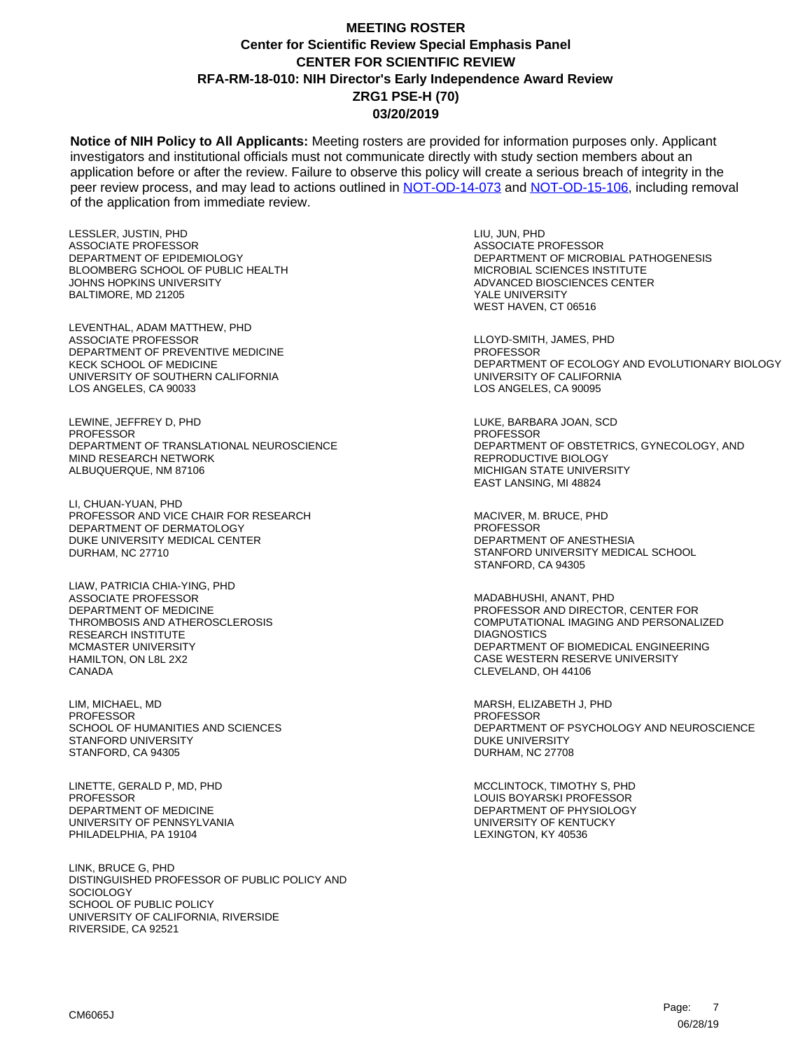**Notice of NIH Policy to All Applicants:** Meeting rosters are provided for information purposes only. Applicant investigators and institutional officials must not communicate directly with study section members about an application before or after the review. Failure to observe this policy will create a serious breach of integrity in the peer review process, and may lead to actions outlined in [NOT-OD-14-073](https://grants.nih.gov/grants/guide/notice-files/NOT-OD-14-073.html) and [NOT-OD-15-106,](https://grants.nih.gov/grants/guide/notice-files/NOT-OD-15-106.html) including removal of the application from immediate review.

LESSLER, JUSTIN, PHD ASSOCIATE PROFESSOR DEPARTMENT OF EPIDEMIOLOGY BLOOMBERG SCHOOL OF PUBLIC HEALTH JOHNS HOPKINS UNIVERSITY BALTIMORE, MD 21205

LEVENTHAL, ADAM MATTHEW, PHD ASSOCIATE PROFESSOR DEPARTMENT OF PREVENTIVE MEDICINE KECK SCHOOL OF MEDICINE UNIVERSITY OF SOUTHERN CALIFORNIA LOS ANGELES, CA 90033

LEWINE, JEFFREY D, PHD PROFESSOR DEPARTMENT OF TRANSLATIONAL NEUROSCIENCE MIND RESEARCH NETWORK ALBUQUERQUE, NM 87106

LI, CHUAN-YUAN, PHD PROFESSOR AND VICE CHAIR FOR RESEARCH DEPARTMENT OF DERMATOLOGY DUKE UNIVERSITY MEDICAL CENTER DURHAM, NC 27710

LIAW, PATRICIA CHIA-YING, PHD ASSOCIATE PROFESSOR DEPARTMENT OF MEDICINE THROMBOSIS AND ATHEROSCLEROSIS RESEARCH INSTITUTE MCMASTER UNIVERSITY HAMILTON, ON L8L 2X2 CANADA

LIM, MICHAEL, MD **PROFESSOR** SCHOOL OF HUMANITIES AND SCIENCES STANFORD UNIVERSITY STANFORD, CA 94305

LINETTE, GERALD P, MD, PHD PROFESSOR DEPARTMENT OF MEDICINE UNIVERSITY OF PENNSYLVANIA PHILADELPHIA, PA 19104

LINK, BRUCE G, PHD DISTINGUISHED PROFESSOR OF PUBLIC POLICY AND SOCIOLOGY SCHOOL OF PUBLIC POLICY UNIVERSITY OF CALIFORNIA, RIVERSIDE RIVERSIDE, CA 92521

LIU, JUN, PHD ASSOCIATE PROFESSOR DEPARTMENT OF MICROBIAL PATHOGENESIS MICROBIAL SCIENCES INSTITUTE ADVANCED BIOSCIENCES CENTER YALE UNIVERSITY WEST HAVEN, CT 06516

LLOYD-SMITH, JAMES, PHD **PROFESSOR** DEPARTMENT OF ECOLOGY AND EVOLUTIONARY BIOLOGY UNIVERSITY OF CALIFORNIA LOS ANGELES, CA 90095

LUKE, BARBARA JOAN, SCD PROFESSOR DEPARTMENT OF OBSTETRICS, GYNECOLOGY, AND REPRODUCTIVE BIOLOGY MICHIGAN STATE UNIVERSITY EAST LANSING, MI 48824

MACIVER, M. BRUCE, PHD PROFESSOR DEPARTMENT OF ANESTHESIA STANFORD UNIVERSITY MEDICAL SCHOOL STANFORD, CA 94305

MADABHUSHI, ANANT, PHD PROFESSOR AND DIRECTOR, CENTER FOR COMPUTATIONAL IMAGING AND PERSONALIZED **DIAGNOSTICS** DEPARTMENT OF BIOMEDICAL ENGINEERING CASE WESTERN RESERVE UNIVERSITY CLEVELAND, OH 44106

MARSH, ELIZABETH J, PHD PROFESSOR DEPARTMENT OF PSYCHOLOGY AND NEUROSCIENCE DUKE UNIVERSITY DURHAM, NC 27708

MCCLINTOCK, TIMOTHY S, PHD LOUIS BOYARSKI PROFESSOR DEPARTMENT OF PHYSIOLOGY UNIVERSITY OF KENTUCKY LEXINGTON, KY 40536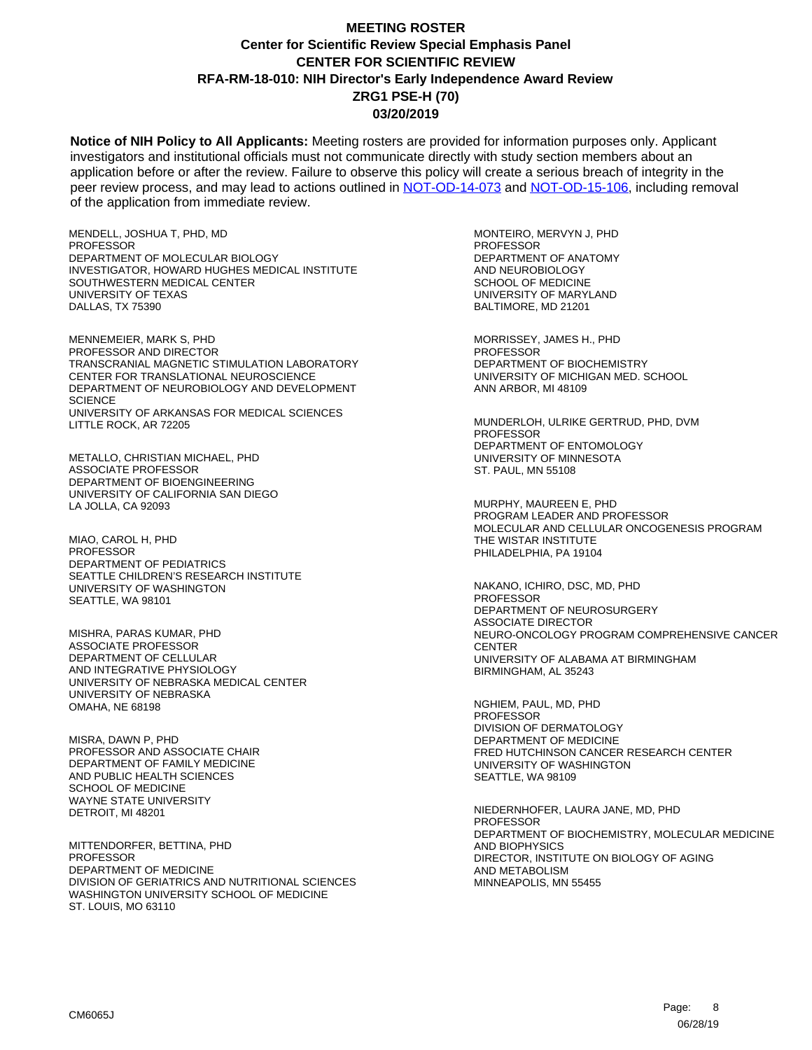**Notice of NIH Policy to All Applicants:** Meeting rosters are provided for information purposes only. Applicant investigators and institutional officials must not communicate directly with study section members about an application before or after the review. Failure to observe this policy will create a serious breach of integrity in the peer review process, and may lead to actions outlined in [NOT-OD-14-073](https://grants.nih.gov/grants/guide/notice-files/NOT-OD-14-073.html) and [NOT-OD-15-106,](https://grants.nih.gov/grants/guide/notice-files/NOT-OD-15-106.html) including removal of the application from immediate review.

MENDELL, JOSHUA T, PHD, MD PROFESSOR DEPARTMENT OF MOLECULAR BIOLOGY INVESTIGATOR, HOWARD HUGHES MEDICAL INSTITUTE SOUTHWESTERN MEDICAL CENTER UNIVERSITY OF TEXAS DALLAS, TX 75390

MENNEMEIER, MARK S, PHD PROFESSOR AND DIRECTOR TRANSCRANIAL MAGNETIC STIMULATION LABORATORY CENTER FOR TRANSLATIONAL NEUROSCIENCE DEPARTMENT OF NEUROBIOLOGY AND DEVELOPMENT **SCIENCE** UNIVERSITY OF ARKANSAS FOR MEDICAL SCIENCES LITTLE ROCK, AR 72205

METALLO, CHRISTIAN MICHAEL, PHD ASSOCIATE PROFESSOR DEPARTMENT OF BIOENGINEERING UNIVERSITY OF CALIFORNIA SAN DIEGO LA JOLLA, CA 92093

MIAO, CAROL H, PHD **PROFESSOR** DEPARTMENT OF PEDIATRICS SEATTLE CHILDREN'S RESEARCH INSTITUTE UNIVERSITY OF WASHINGTON SEATTLE, WA 98101

MISHRA, PARAS KUMAR, PHD ASSOCIATE PROFESSOR DEPARTMENT OF CELLULAR AND INTEGRATIVE PHYSIOLOGY UNIVERSITY OF NEBRASKA MEDICAL CENTER UNIVERSITY OF NEBRASKA OMAHA, NE 68198

MISRA, DAWN P, PHD PROFESSOR AND ASSOCIATE CHAIR DEPARTMENT OF FAMILY MEDICINE AND PUBLIC HEALTH SCIENCES SCHOOL OF MEDICINE WAYNE STATE UNIVERSITY DETROIT, MI 48201

MITTENDORFER, BETTINA, PHD **PROFESSOR** DEPARTMENT OF MEDICINE DIVISION OF GERIATRICS AND NUTRITIONAL SCIENCES WASHINGTON UNIVERSITY SCHOOL OF MEDICINE ST. LOUIS, MO 63110

MONTEIRO, MERVYN J, PHD PROFESSOR DEPARTMENT OF ANATOMY AND NEUROBIOLOGY SCHOOL OF MEDICINE UNIVERSITY OF MARYLAND BALTIMORE, MD 21201

MORRISSEY, JAMES H., PHD **PROFESSOR** DEPARTMENT OF BIOCHEMISTRY UNIVERSITY OF MICHIGAN MED. SCHOOL ANN ARBOR, MI 48109

MUNDERLOH, ULRIKE GERTRUD, PHD, DVM PROFESSOR DEPARTMENT OF ENTOMOLOGY UNIVERSITY OF MINNESOTA ST. PAUL, MN 55108

MURPHY, MAUREEN E, PHD PROGRAM LEADER AND PROFESSOR MOLECULAR AND CELLULAR ONCOGENESIS PROGRAM THE WISTAR INSTITUTE PHILADELPHIA, PA 19104

NAKANO, ICHIRO, DSC, MD, PHD PROFESSOR DEPARTMENT OF NEUROSURGERY ASSOCIATE DIRECTOR NEURO-ONCOLOGY PROGRAM COMPREHENSIVE CANCER **CENTER** UNIVERSITY OF ALABAMA AT BIRMINGHAM BIRMINGHAM, AL 35243

NGHIEM, PAUL, MD, PHD PROFESSOR DIVISION OF DERMATOLOGY DEPARTMENT OF MEDICINE FRED HUTCHINSON CANCER RESEARCH CENTER UNIVERSITY OF WASHINGTON SEATTLE, WA 98109

NIEDERNHOFER, LAURA JANE, MD, PHD PROFESSOR DEPARTMENT OF BIOCHEMISTRY, MOLECULAR MEDICINE AND BIOPHYSICS DIRECTOR, INSTITUTE ON BIOLOGY OF AGING AND METABOLISM MINNEAPOLIS, MN 55455

8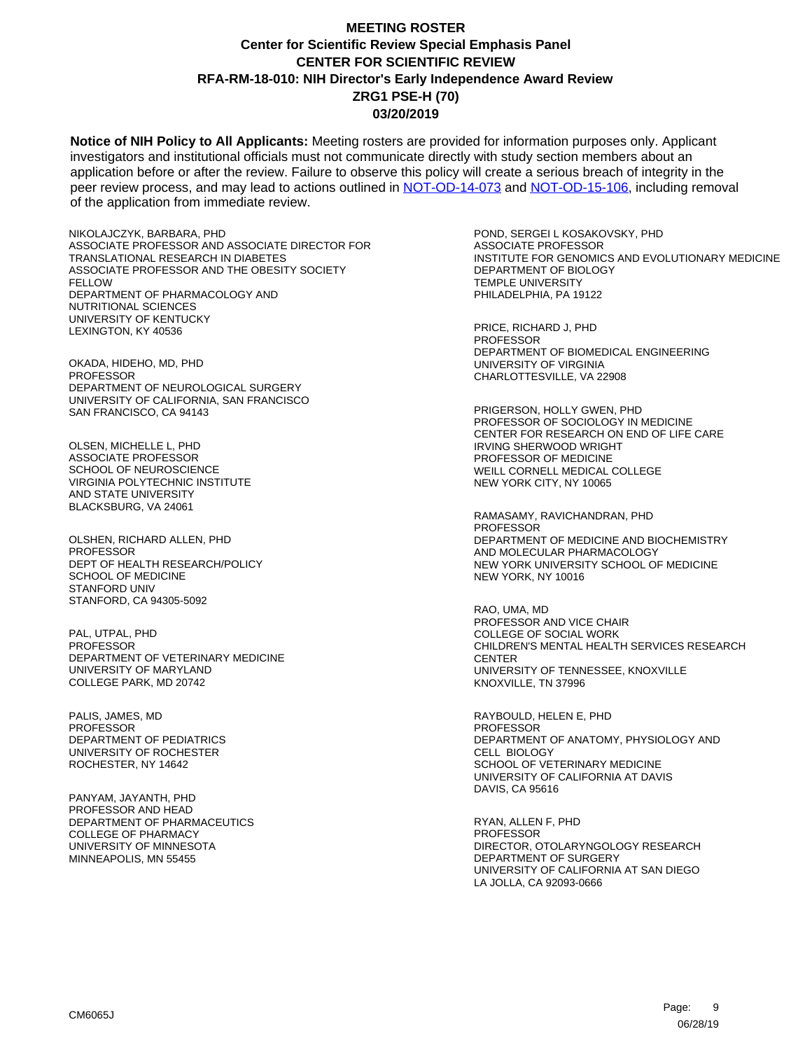**Notice of NIH Policy to All Applicants:** Meeting rosters are provided for information purposes only. Applicant investigators and institutional officials must not communicate directly with study section members about an application before or after the review. Failure to observe this policy will create a serious breach of integrity in the peer review process, and may lead to actions outlined in [NOT-OD-14-073](https://grants.nih.gov/grants/guide/notice-files/NOT-OD-14-073.html) and [NOT-OD-15-106,](https://grants.nih.gov/grants/guide/notice-files/NOT-OD-15-106.html) including removal of the application from immediate review.

NIKOLAJCZYK, BARBARA, PHD ASSOCIATE PROFESSOR AND ASSOCIATE DIRECTOR FOR TRANSLATIONAL RESEARCH IN DIABETES ASSOCIATE PROFESSOR AND THE OBESITY SOCIETY FELLOW DEPARTMENT OF PHARMACOLOGY AND NUTRITIONAL SCIENCES UNIVERSITY OF KENTUCKY LEXINGTON, KY 40536

OKADA, HIDEHO, MD, PHD **PROFESSOR** DEPARTMENT OF NEUROLOGICAL SURGERY UNIVERSITY OF CALIFORNIA, SAN FRANCISCO SAN FRANCISCO, CA 94143

OLSEN, MICHELLE L, PHD ASSOCIATE PROFESSOR SCHOOL OF NEUROSCIENCE VIRGINIA POLYTECHNIC INSTITUTE AND STATE UNIVERSITY BLACKSBURG, VA 24061

OLSHEN, RICHARD ALLEN, PHD **PROFESSOR** DEPT OF HEALTH RESEARCH/POLICY SCHOOL OF MEDICINE STANFORD UNIV STANFORD, CA 94305-5092

PAL, UTPAL, PHD PROFESSOR DEPARTMENT OF VETERINARY MEDICINE UNIVERSITY OF MARYLAND COLLEGE PARK, MD 20742

PALIS, JAMES, MD PROFESSOR DEPARTMENT OF PEDIATRICS UNIVERSITY OF ROCHESTER ROCHESTER, NY 14642

PANYAM, JAYANTH, PHD PROFESSOR AND HEAD DEPARTMENT OF PHARMACEUTICS COLLEGE OF PHARMACY UNIVERSITY OF MINNESOTA MINNEAPOLIS, MN 55455

POND, SERGEI L KOSAKOVSKY, PHD ASSOCIATE PROFESSOR INSTITUTE FOR GENOMICS AND EVOLUTIONARY MEDICINE DEPARTMENT OF BIOLOGY TEMPLE UNIVERSITY PHILADELPHIA, PA 19122

PRICE, RICHARD J, PHD **PROFESSOR** DEPARTMENT OF BIOMEDICAL ENGINEERING UNIVERSITY OF VIRGINIA CHARLOTTESVILLE, VA 22908

PRIGERSON, HOLLY GWEN, PHD PROFESSOR OF SOCIOLOGY IN MEDICINE CENTER FOR RESEARCH ON END OF LIFE CARE IRVING SHERWOOD WRIGHT PROFESSOR OF MEDICINE WEILL CORNELL MEDICAL COLLEGE NEW YORK CITY, NY 10065

RAMASAMY, RAVICHANDRAN, PHD PROFESSOR DEPARTMENT OF MEDICINE AND BIOCHEMISTRY AND MOLECULAR PHARMACOLOGY NEW YORK UNIVERSITY SCHOOL OF MEDICINE NEW YORK, NY 10016

RAO, UMA, MD PROFESSOR AND VICE CHAIR COLLEGE OF SOCIAL WORK CHILDREN'S MENTAL HEALTH SERVICES RESEARCH **CENTER** UNIVERSITY OF TENNESSEE, KNOXVILLE KNOXVILLE, TN 37996

RAYBOULD, HELEN E, PHD PROFESSOR DEPARTMENT OF ANATOMY, PHYSIOLOGY AND CELL BIOLOGY SCHOOL OF VETERINARY MEDICINE UNIVERSITY OF CALIFORNIA AT DAVIS DAVIS, CA 95616

RYAN, ALLEN F, PHD PROFESSOR DIRECTOR, OTOLARYNGOLOGY RESEARCH DEPARTMENT OF SURGERY UNIVERSITY OF CALIFORNIA AT SAN DIEGO LA JOLLA, CA 92093-0666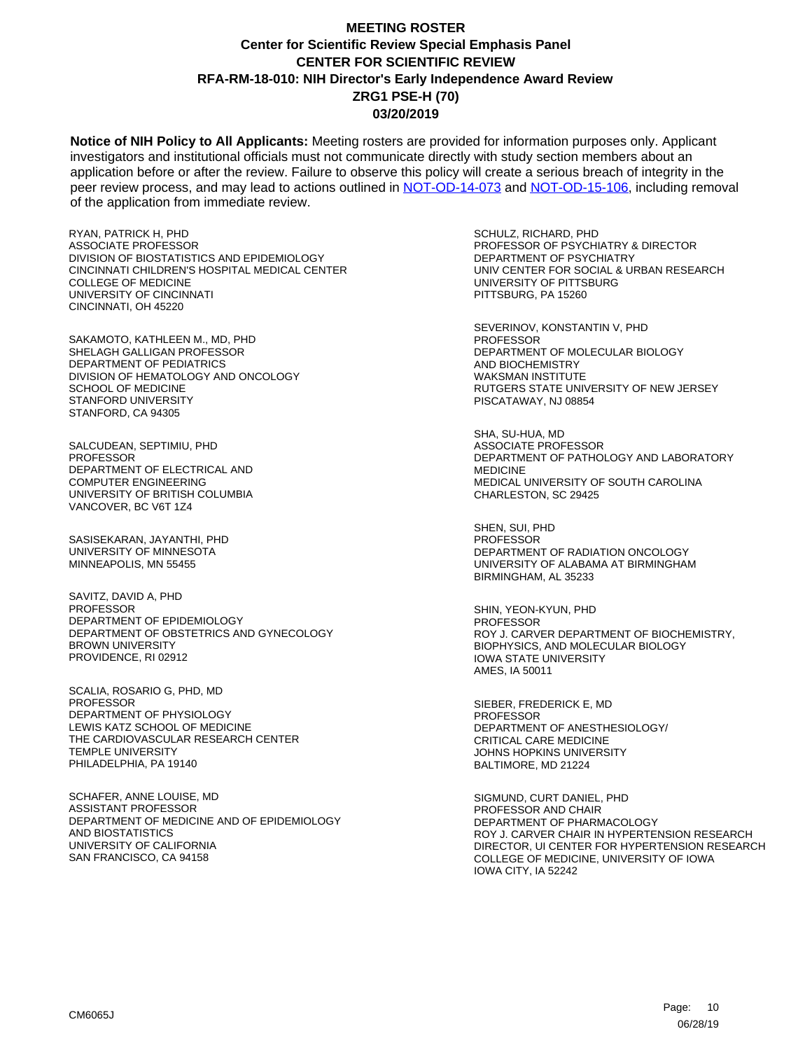**Notice of NIH Policy to All Applicants:** Meeting rosters are provided for information purposes only. Applicant investigators and institutional officials must not communicate directly with study section members about an application before or after the review. Failure to observe this policy will create a serious breach of integrity in the peer review process, and may lead to actions outlined in [NOT-OD-14-073](https://grants.nih.gov/grants/guide/notice-files/NOT-OD-14-073.html) and [NOT-OD-15-106,](https://grants.nih.gov/grants/guide/notice-files/NOT-OD-15-106.html) including removal of the application from immediate review.

RYAN, PATRICK H, PHD ASSOCIATE PROFESSOR DIVISION OF BIOSTATISTICS AND EPIDEMIOLOGY CINCINNATI CHILDREN'S HOSPITAL MEDICAL CENTER COLLEGE OF MEDICINE UNIVERSITY OF CINCINNATI CINCINNATI, OH 45220

SAKAMOTO, KATHLEEN M., MD, PHD SHELAGH GALLIGAN PROFESSOR DEPARTMENT OF PEDIATRICS DIVISION OF HEMATOLOGY AND ONCOLOGY SCHOOL OF MEDICINE STANFORD UNIVERSITY STANFORD, CA 94305

SALCUDEAN, SEPTIMIU, PHD PROFESSOR DEPARTMENT OF ELECTRICAL AND COMPUTER ENGINEERING UNIVERSITY OF BRITISH COLUMBIA VANCOVER, BC V6T 1Z4

SASISEKARAN, JAYANTHI, PHD UNIVERSITY OF MINNESOTA MINNEAPOLIS, MN 55455

SAVITZ, DAVID A, PHD PROFESSOR DEPARTMENT OF EPIDEMIOLOGY DEPARTMENT OF OBSTETRICS AND GYNECOLOGY BROWN UNIVERSITY PROVIDENCE, RI 02912

SCALIA, ROSARIO G, PHD, MD PROFESSOR DEPARTMENT OF PHYSIOLOGY LEWIS KATZ SCHOOL OF MEDICINE THE CARDIOVASCULAR RESEARCH CENTER TEMPLE UNIVERSITY PHILADELPHIA, PA 19140

SCHAFER, ANNE LOUISE, MD ASSISTANT PROFESSOR DEPARTMENT OF MEDICINE AND OF EPIDEMIOLOGY AND BIOSTATISTICS UNIVERSITY OF CALIFORNIA SAN FRANCISCO, CA 94158

SCHULZ, RICHARD, PHD PROFESSOR OF PSYCHIATRY & DIRECTOR DEPARTMENT OF PSYCHIATRY UNIV CENTER FOR SOCIAL & URBAN RESEARCH UNIVERSITY OF PITTSBURG PITTSBURG, PA 15260

SEVERINOV, KONSTANTIN V, PHD **PROFESSOR** DEPARTMENT OF MOLECULAR BIOLOGY AND BIOCHEMISTRY WAKSMAN INSTITUTE RUTGERS STATE UNIVERSITY OF NEW JERSEY PISCATAWAY, NJ 08854

SHA, SU-HUA, MD ASSOCIATE PROFESSOR DEPARTMENT OF PATHOLOGY AND LABORATORY MEDICINE MEDICAL UNIVERSITY OF SOUTH CAROLINA CHARLESTON, SC 29425

SHEN, SUI, PHD PROFESSOR DEPARTMENT OF RADIATION ONCOLOGY UNIVERSITY OF ALABAMA AT BIRMINGHAM BIRMINGHAM, AL 35233

SHIN, YEON-KYUN, PHD PROFESSOR ROY J. CARVER DEPARTMENT OF BIOCHEMISTRY, BIOPHYSICS, AND MOLECULAR BIOLOGY IOWA STATE UNIVERSITY AMES, IA 50011

SIEBER, FREDERICK E, MD **PROFESSOR** DEPARTMENT OF ANESTHESIOLOGY/ CRITICAL CARE MEDICINE JOHNS HOPKINS UNIVERSITY BALTIMORE, MD 21224

SIGMUND, CURT DANIEL, PHD PROFESSOR AND CHAIR DEPARTMENT OF PHARMACOLOGY ROY J. CARVER CHAIR IN HYPERTENSION RESEARCH DIRECTOR, UI CENTER FOR HYPERTENSION RESEARCH COLLEGE OF MEDICINE, UNIVERSITY OF IOWA IOWA CITY, IA 52242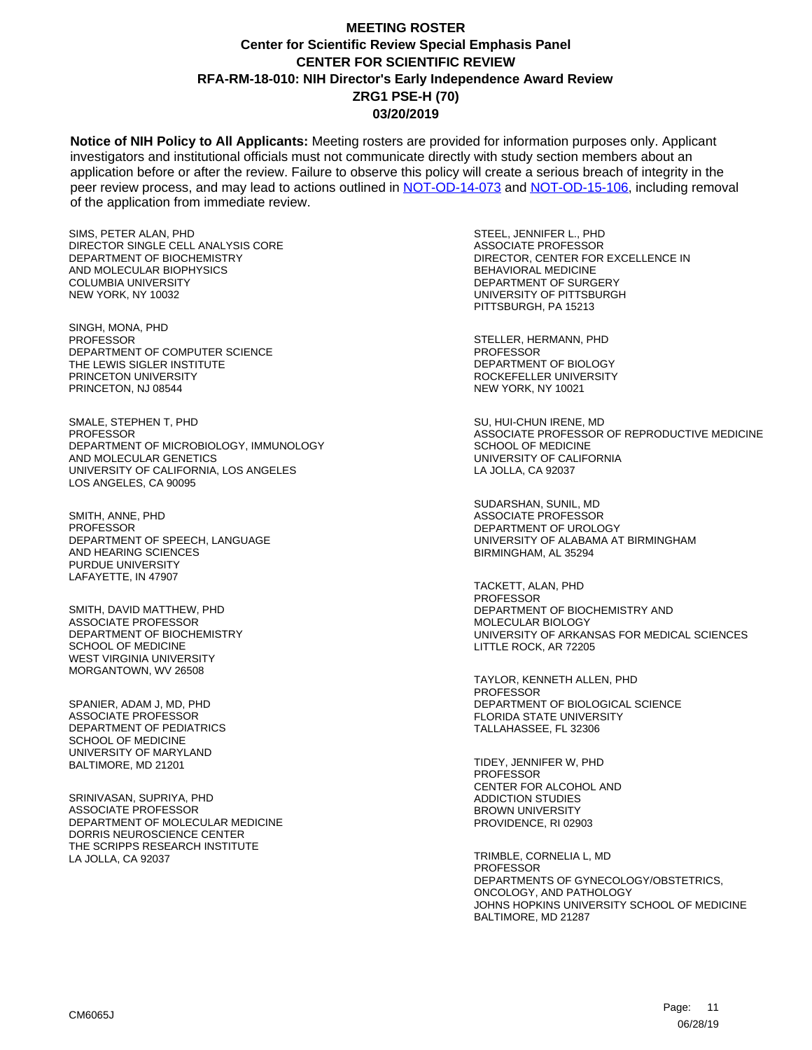**Notice of NIH Policy to All Applicants:** Meeting rosters are provided for information purposes only. Applicant investigators and institutional officials must not communicate directly with study section members about an application before or after the review. Failure to observe this policy will create a serious breach of integrity in the peer review process, and may lead to actions outlined in [NOT-OD-14-073](https://grants.nih.gov/grants/guide/notice-files/NOT-OD-14-073.html) and [NOT-OD-15-106,](https://grants.nih.gov/grants/guide/notice-files/NOT-OD-15-106.html) including removal of the application from immediate review.

SIMS, PETER ALAN, PHD DIRECTOR SINGLE CELL ANALYSIS CORE DEPARTMENT OF BIOCHEMISTRY AND MOLECULAR BIOPHYSICS COLUMBIA UNIVERSITY NEW YORK, NY 10032

SINGH, MONA, PHD **PROFESSOR** DEPARTMENT OF COMPUTER SCIENCE THE LEWIS SIGLER INSTITUTE PRINCETON UNIVERSITY PRINCETON, NJ 08544

SMALE, STEPHEN T, PHD PROFESSOR DEPARTMENT OF MICROBIOLOGY, IMMUNOLOGY AND MOLECULAR GENETICS UNIVERSITY OF CALIFORNIA, LOS ANGELES LOS ANGELES, CA 90095

SMITH, ANNE, PHD PROFESSOR DEPARTMENT OF SPEECH, LANGUAGE AND HEARING SCIENCES PURDUE UNIVERSITY LAFAYETTE, IN 47907

SMITH, DAVID MATTHEW, PHD ASSOCIATE PROFESSOR DEPARTMENT OF BIOCHEMISTRY SCHOOL OF MEDICINE WEST VIRGINIA UNIVERSITY MORGANTOWN, WV 26508

SPANIER, ADAM J, MD, PHD ASSOCIATE PROFESSOR DEPARTMENT OF PEDIATRICS SCHOOL OF MEDICINE UNIVERSITY OF MARYLAND BALTIMORE, MD 21201

SRINIVASAN, SUPRIYA, PHD ASSOCIATE PROFESSOR DEPARTMENT OF MOLECULAR MEDICINE DORRIS NEUROSCIENCE CENTER THE SCRIPPS RESEARCH INSTITUTE LA JOLLA, CA 92037

STEEL, JENNIFER L., PHD ASSOCIATE PROFESSOR DIRECTOR, CENTER FOR EXCELLENCE IN BEHAVIORAL MEDICINE DEPARTMENT OF SURGERY UNIVERSITY OF PITTSBURGH PITTSBURGH, PA 15213

STELLER, HERMANN, PHD **PROFESSOR** DEPARTMENT OF BIOLOGY ROCKEFELLER UNIVERSITY NEW YORK, NY 10021

SU, HUI-CHUN IRENE, MD ASSOCIATE PROFESSOR OF REPRODUCTIVE MEDICINE SCHOOL OF MEDICINE UNIVERSITY OF CALIFORNIA LA JOLLA, CA 92037

SUDARSHAN, SUNIL, MD ASSOCIATE PROFESSOR DEPARTMENT OF UROLOGY UNIVERSITY OF ALABAMA AT BIRMINGHAM BIRMINGHAM, AL 35294

TACKETT, ALAN, PHD PROFESSOR DEPARTMENT OF BIOCHEMISTRY AND MOLECULAR BIOLOGY UNIVERSITY OF ARKANSAS FOR MEDICAL SCIENCES LITTLE ROCK, AR 72205

TAYLOR, KENNETH ALLEN, PHD **PROFESSOR** DEPARTMENT OF BIOLOGICAL SCIENCE FLORIDA STATE UNIVERSITY TALLAHASSEE, FL 32306

TIDEY, JENNIFER W, PHD PROFESSOR CENTER FOR ALCOHOL AND ADDICTION STUDIES BROWN UNIVERSITY PROVIDENCE, RI 02903

TRIMBLE, CORNELIA L, MD PROFESSOR DEPARTMENTS OF GYNECOLOGY/OBSTETRICS, ONCOLOGY, AND PATHOLOGY JOHNS HOPKINS UNIVERSITY SCHOOL OF MEDICINE BALTIMORE, MD 21287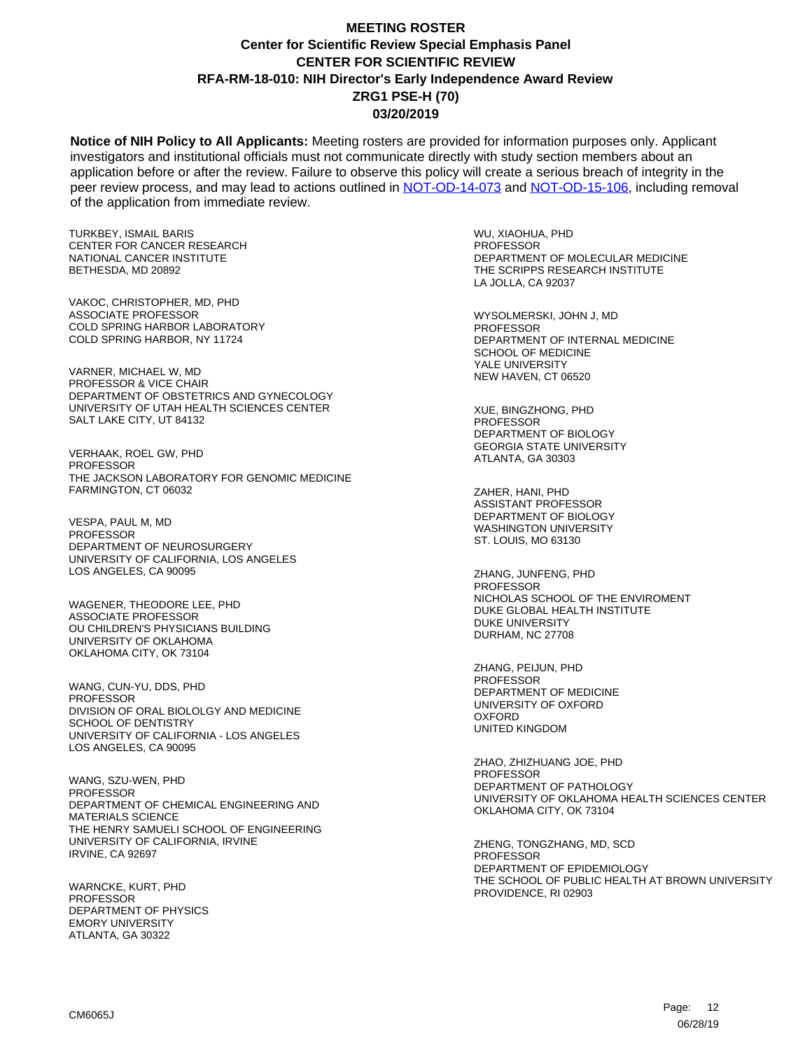**Notice of NIH Policy to All Applicants:** Meeting rosters are provided for information purposes only. Applicant investigators and institutional officials must not communicate directly with study section members about an application before or after the review. Failure to observe this policy will create a serious breach of integrity in the peer review process, and may lead to actions outlined in [NOT-OD-14-073](https://grants.nih.gov/grants/guide/notice-files/NOT-OD-14-073.html) and [NOT-OD-15-106,](https://grants.nih.gov/grants/guide/notice-files/NOT-OD-15-106.html) including removal of the application from immediate review.

TURKBEY, ISMAIL BARIS CENTER FOR CANCER RESEARCH NATIONAL CANCER INSTITUTE BETHESDA, MD 20892

VAKOC, CHRISTOPHER, MD, PHD ASSOCIATE PROFESSOR COLD SPRING HARBOR LABORATORY COLD SPRING HARBOR, NY 11724

VARNER, MICHAEL W, MD PROFESSOR & VICE CHAIR DEPARTMENT OF OBSTETRICS AND GYNECOLOGY UNIVERSITY OF UTAH HEALTH SCIENCES CENTER SALT LAKE CITY, UT 84132

VERHAAK, ROEL GW, PHD **PROFESSOR** THE JACKSON LABORATORY FOR GENOMIC MEDICINE FARMINGTON, CT 06032

VESPA, PAUL M, MD PROFESSOR DEPARTMENT OF NEUROSURGERY UNIVERSITY OF CALIFORNIA, LOS ANGELES LOS ANGELES, CA 90095

WAGENER, THEODORE LEE, PHD ASSOCIATE PROFESSOR OU CHILDREN'S PHYSICIANS BUILDING UNIVERSITY OF OKLAHOMA OKLAHOMA CITY, OK 73104

WANG, CUN-YU, DDS, PHD PROFESSOR DIVISION OF ORAL BIOLOLGY AND MEDICINE SCHOOL OF DENTISTRY UNIVERSITY OF CALIFORNIA - LOS ANGELES LOS ANGELES, CA 90095

WANG, SZU-WEN, PHD PROFESSOR DEPARTMENT OF CHEMICAL ENGINEERING AND MATERIALS SCIENCE THE HENRY SAMUELI SCHOOL OF ENGINEERING UNIVERSITY OF CALIFORNIA, IRVINE IRVINE, CA 92697

WARNCKE, KURT, PHD PROFESSOR DEPARTMENT OF PHYSICS EMORY UNIVERSITY ATLANTA, GA 30322

WU, XIAOHUA, PHD PROFESSOR DEPARTMENT OF MOLECULAR MEDICINE THE SCRIPPS RESEARCH INSTITUTE LA JOLLA, CA 92037

WYSOLMERSKI, JOHN J, MD **PROFESSOR** DEPARTMENT OF INTERNAL MEDICINE SCHOOL OF MEDICINE YALE UNIVERSITY NEW HAVEN, CT 06520

XUE, BINGZHONG, PHD **PROFESSOR** DEPARTMENT OF BIOLOGY GEORGIA STATE UNIVERSITY ATLANTA, GA 30303

ZAHER, HANI, PHD ASSISTANT PROFESSOR DEPARTMENT OF BIOLOGY WASHINGTON UNIVERSITY ST. LOUIS, MO 63130

ZHANG, JUNFENG, PHD PROFESSOR NICHOLAS SCHOOL OF THE ENVIROMENT DUKE GLOBAL HEALTH INSTITUTE DUKE UNIVERSITY DURHAM, NC 27708

ZHANG, PEIJUN, PHD PROFESSOR DEPARTMENT OF MEDICINE UNIVERSITY OF OXFORD **OXFORD** UNITED KINGDOM

ZHAO, ZHIZHUANG JOE, PHD PROFESSOR DEPARTMENT OF PATHOLOGY UNIVERSITY OF OKLAHOMA HEALTH SCIENCES CENTER OKLAHOMA CITY, OK 73104

ZHENG, TONGZHANG, MD, SCD PROFESSOR DEPARTMENT OF EPIDEMIOLOGY THE SCHOOL OF PUBLIC HEALTH AT BROWN UNIVERSITY PROVIDENCE, RI 02903